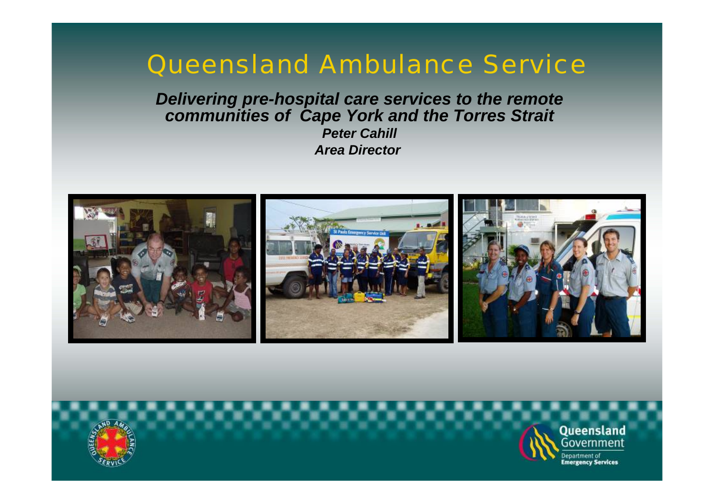### Queensland Ambulance Service

#### *Delivering pre-hospital care services to the remote communities of Cape York and the Torres Strait*

*Peter Cahill Area Director*





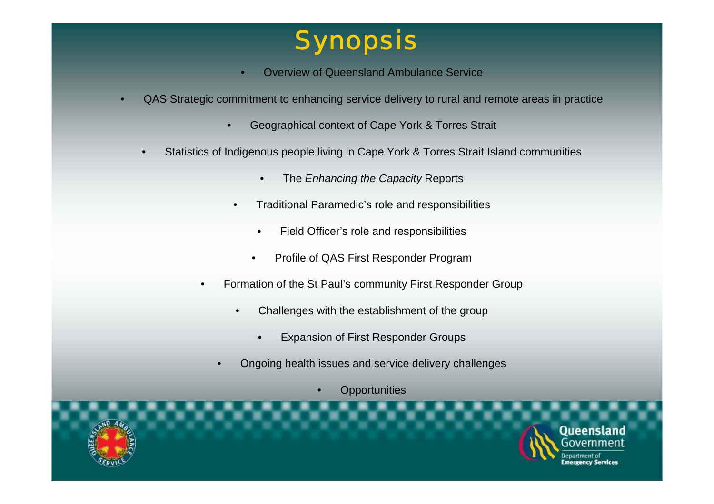

- •Overview of Queensland Ambulance Service
- • QAS Strategic commitment to enhancing service delivery to rural and remote areas in practice
	- •Geographical context of Cape York & Torres Strait
	- • Statistics of Indigenous people living in Cape York & Torres Strait Island communities
		- •The *Enhancing the Capacity* Reports
		- $\bullet$  Traditional Paramedic's role and responsibilities
			- •Field Officer's role and responsibilities
			- •Profile of QAS First Responder Program
		- • Formation of the St Paul's community First Responder Group
			- • Challenges with the establishment of the group
				- •Expansion of First Responder Groups
			- • Ongoing health issues and service delivery challenges
				- •**Opportunities**



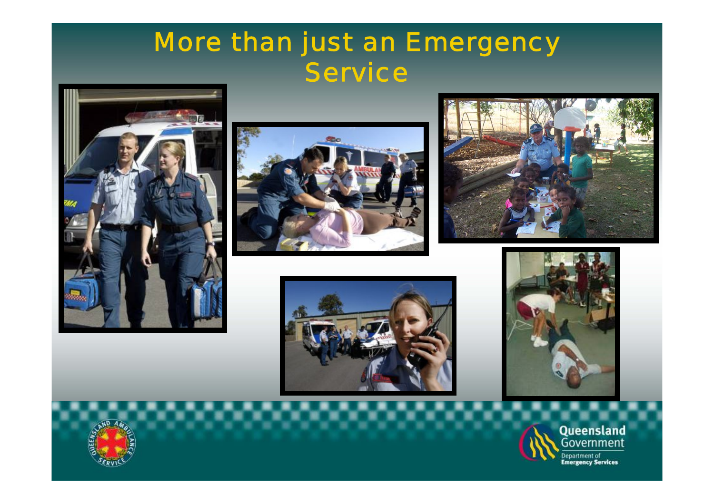### More than just an Emergency Service













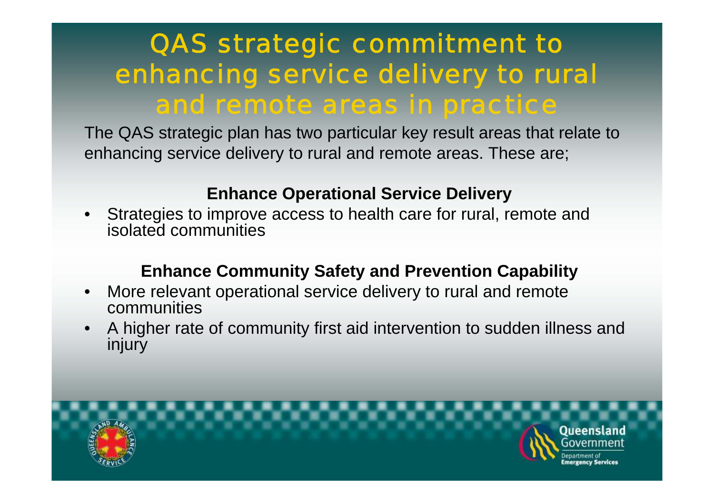### QAS strategic commitment to enhancing service delivery to rural and remote areas in practice

The QAS strategic plan has two particular key result areas that relate to enhancing service delivery to rural and remote areas. These are;

#### **Enhance Operational Service Delivery**

• Strategies to improve access to health care for rural, remote and isolated communities

#### **Enhance Community Safety and Prevention Capability**

- • More relevant operational service delivery to rural and remote communities
- • A higher rate of community first aid intervention to sudden illness and injury



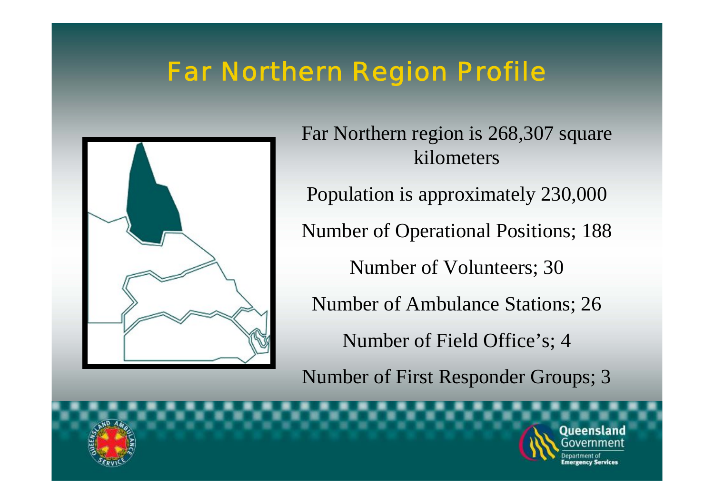### Far Northern Region Profile



Far Northern region is 268,307 square kilometers Population is approximately 230,000 Number of Operational Positions; 188 Number of Volunteers; 30 Number of Ambulance Stations; 26 Number of Field Office's; 4 Number of First Responder Groups; 3



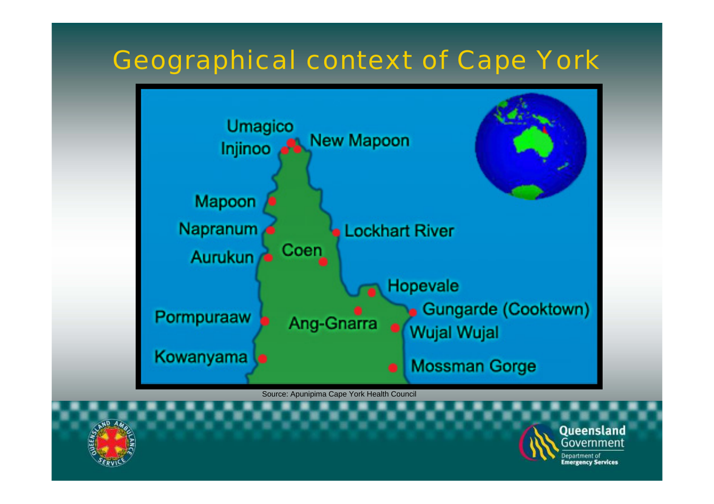### Geographical context of Cape York



Source: Apunipima Cape York Health Council



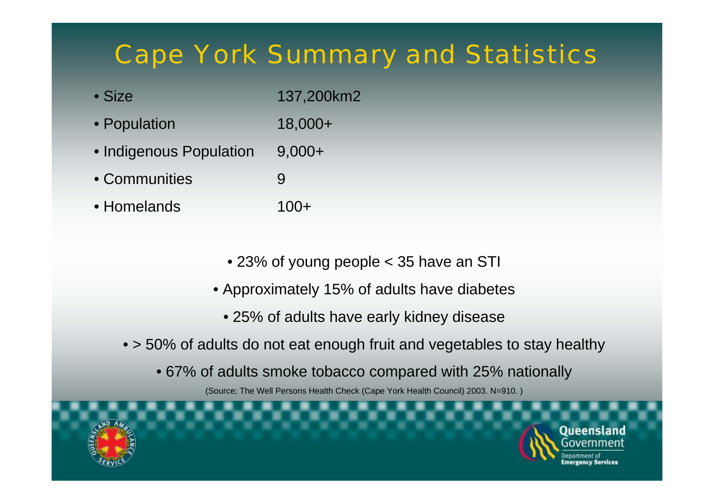### Cape York Summary and Statistics

| $\bullet$ Size          | 137,200km2 |  |
|-------------------------|------------|--|
| • Population            | 18,000+    |  |
| · Indigenous Population | $9,000+$   |  |
| • Communities           | 9          |  |
| • Homelands             |            |  |

- 23% of young people < 35 have an STI
- Approximately 15% of adults have diabetes
	- 25% of adults have early kidney disease

#### • > 50% of adults do not eat enough fruit and vegetables to stay healthy

• 67% of adults smoke tobacco compared with 25% nationally

(Source; The Well Persons Health Check (Cape York Health Council) 2003. N=910. )



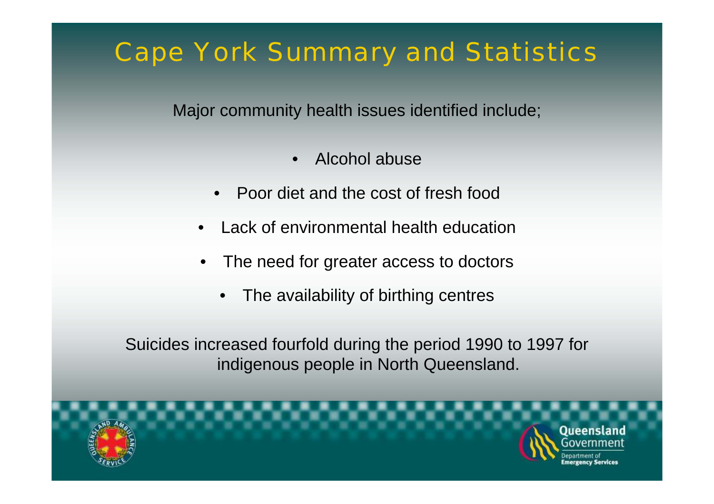### Cape York Summary and Statistics

Major community health issues identified include;

- •Alcohol abuse
- •Poor diet and the cost of fresh food
- •Lack of environmental health education
- $\bullet$  The need for greater access to doctors
	- $\bullet$ The availability of birthing centres

Suicides increased fourfold during the period 1990 to 1997 for indigenous people in North Queensland.



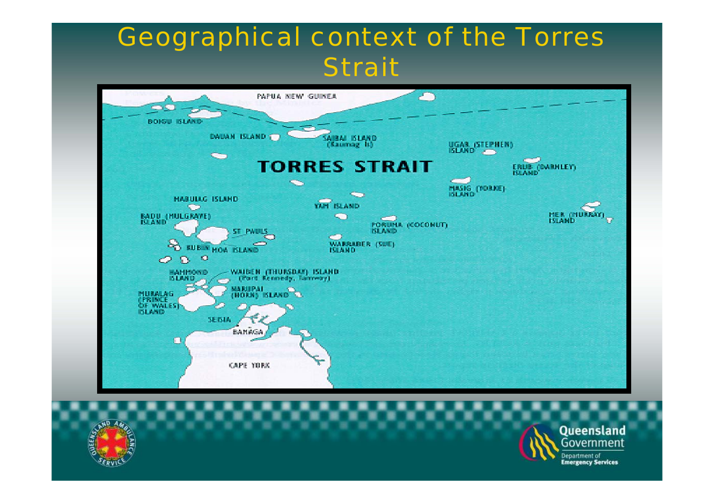### Geographical context of the Torres **Strait**





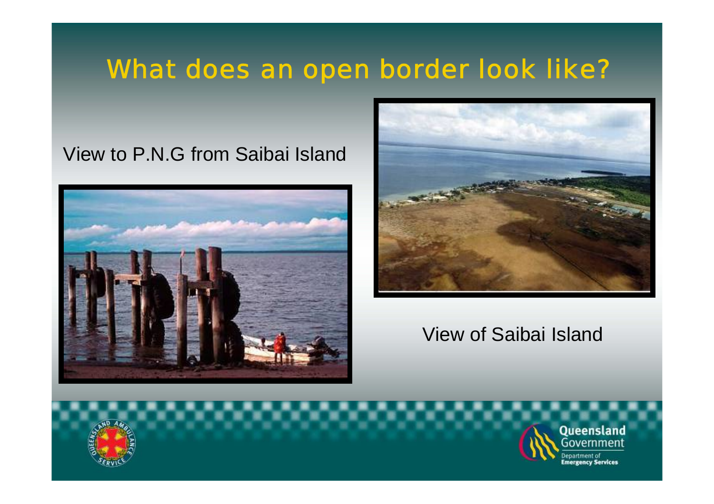## What does an open border look like?

### View to P.N.G from Saibai Island





#### View of Saibai Island



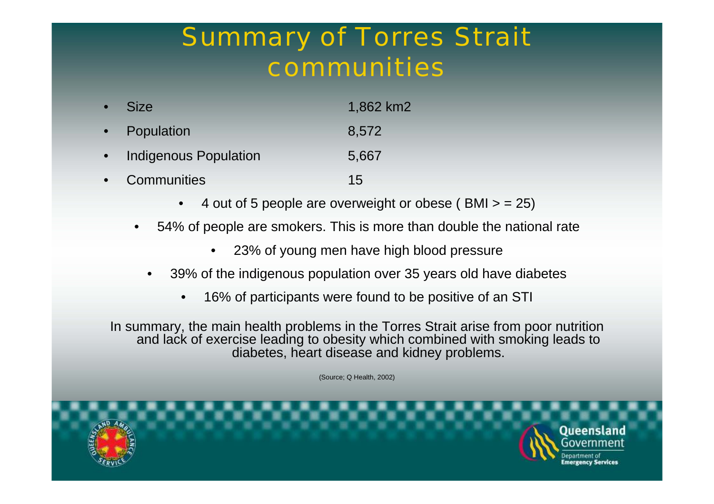### Summary of Torres Strait communities

| $\bullet$ | <b>Size</b>             | 1,862 km2 |
|-----------|-------------------------|-----------|
|           | • Population            | 8,572     |
|           | • Indigenous Population | 5,667     |
|           | Communities             | 15        |

- •4 out of 5 people are overweight or obese ( $BMI > = 25$ )
- • 54% of people are smokers. This is more than double the national rate
	- •23% of young men have high blood pressure
	- • 39% of the indigenous population over 35 years old have diabetes
		- •16% of participants were found to be positive of an STI

In summary, the main health problems in the Torres Strait arise from poor nutrition and lack of exercise leading to obesity which combined with smoking leads to diabetes, heart disease and kidney problems.

(Source; Q Health, 2002)

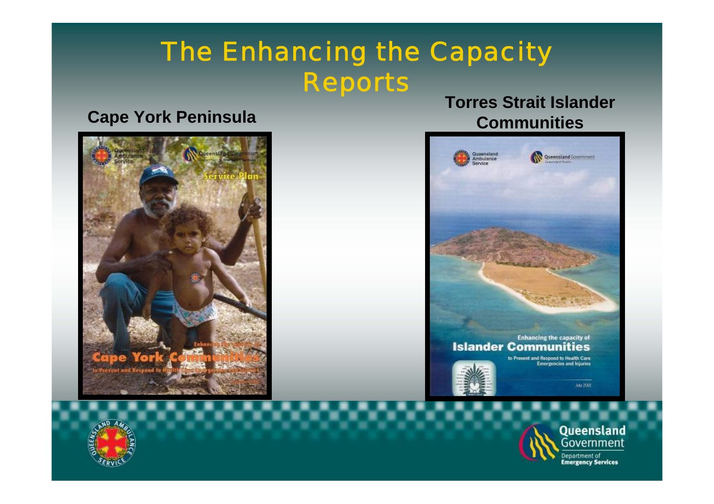# *The Enhancing the Capacity Reports* **Torres Strait Islander**



# **Cape York Peninsula Cape York Peninsula**





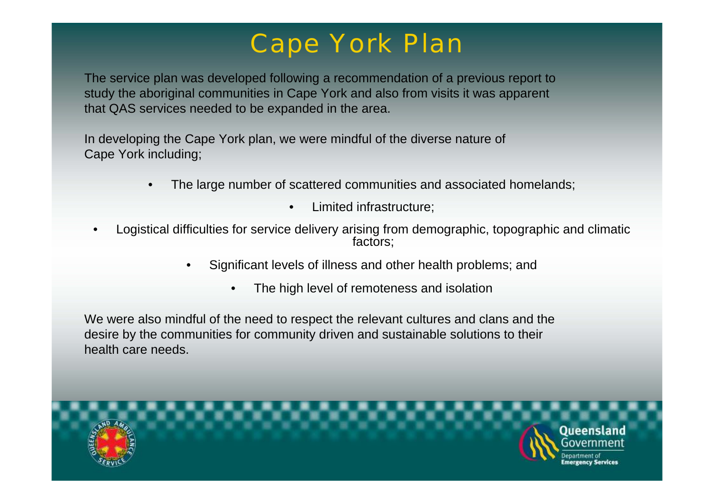### Cape York Plan

The service plan was developed following a recommendation of a previous report to study the aboriginal communities in Cape York and also from visits it was apparent that QAS services needed to be expanded in the area.

In developing the Cape York plan, we were mindful of the diverse nature of Cape York including;

- • The large number of scattered communities and associated homelands;
	- •Limited infrastructure;
- • Logistical difficulties for service delivery arising from demographic, topographic and climatic factors;
	- • Significant levels of illness and other health problems; and
		- •The high level of remoteness and isolation

We were also mindful of the need to respect the relevant cultures and clans and the desire by the communities for community driven and sustainable solutions to their health care needs.



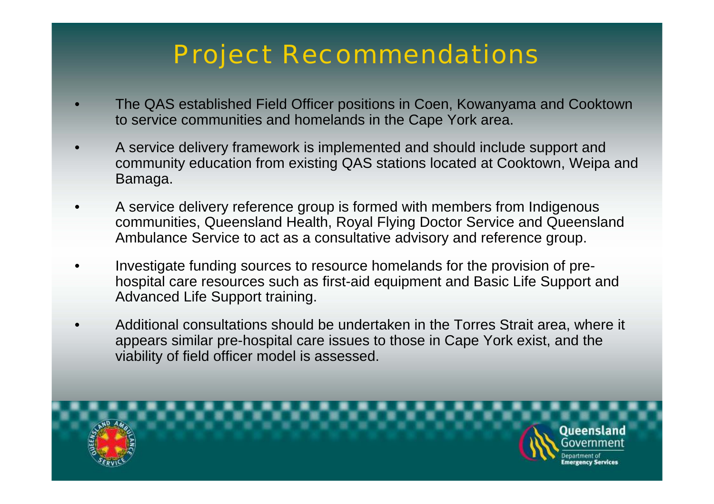### Project Recommendations

- • The QAS established Field Officer positions in Coen, Kowanyama and Cooktown to service communities and homelands in the Cape York area.
- • A service delivery framework is implemented and should include support and community education from existing QAS stations located at Cooktown, Weipa and Bamaga.
- • A service delivery reference group is formed with members from Indigenous communities, Queensland Health, Royal Flying Doctor Service and Queensland Ambulance Service to act as a consultative advisory and reference group.
- • Investigate funding sources to resource homelands for the provision of prehospital care resources such as first-aid equipment and Basic Life Support and Advanced Life Support training.
- • Additional consultations should be undertaken in the Torres Strait area, where it appears similar pre-hospital care issues to those in Cape York exist, and the viability of field officer model is assessed.



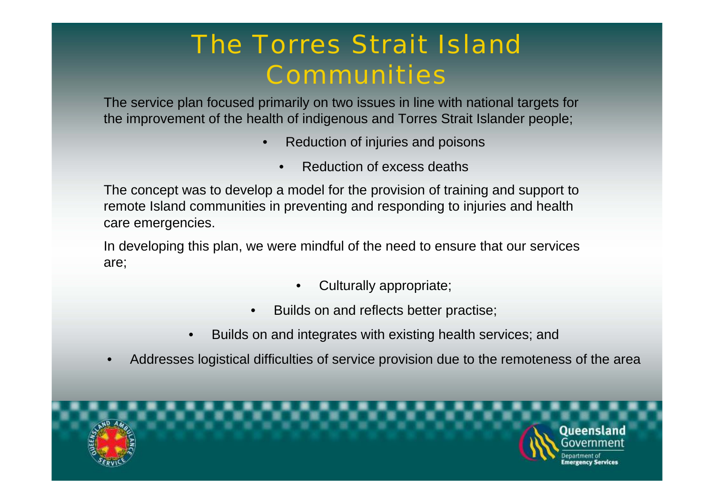### The Torres Strait Island **Communities**

The service plan focused primarily on two issues in line with national targets for the improvement of the health of indigenous and Torres Strait Islander people;

- • Reduction of injuries and poisons
	- •Reduction of excess deaths

The concept was to develop a model for the provision of training and support to remote Island communities in preventing and responding to injuries and health care emergencies.

In developing this plan, we were mindful of the need to ensure that our services are;

- •Culturally appropriate;
- •Builds on and reflects better practise;
- •Builds on and integrates with existing health services; and
- •Addresses logistical difficulties of service provision due to the remoteness of the area

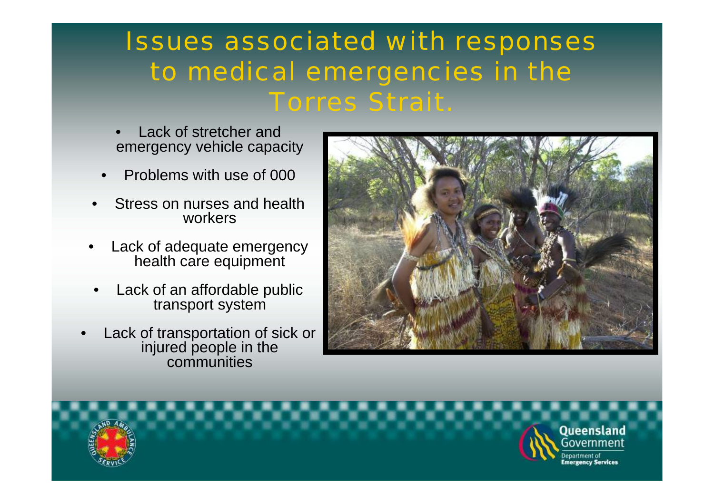### Issues associated with responses to medical emergencies in the Torres Strait.

- • Lack of stretcher and emergency vehicle capacity
- •Problems with use of 000
- • Stress on nurses and health workers
- • Lack of adequate emergency health care equipment
- • Lack of an affordable public transport system
- • Lack of transportation of sick or injured people in the communities





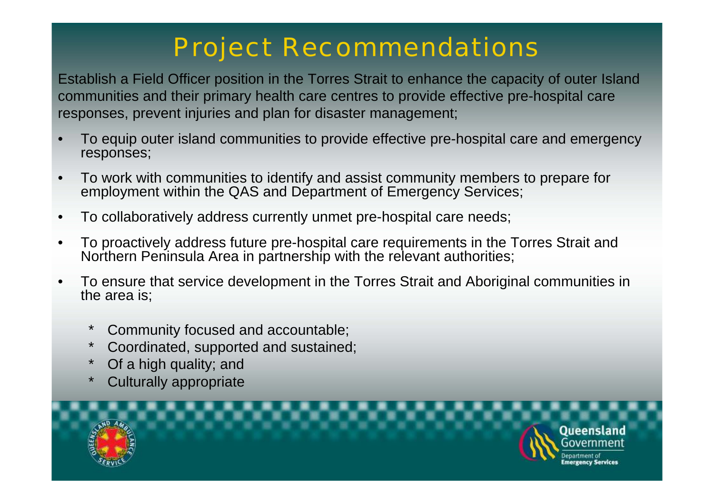### Project Recommendations

Establish a Field Officer position in the Torres Strait to enhance the capacity of outer Island communities and their primary health care centres to provide effective pre-hospital care responses, prevent injuries and plan for disaster management;

- • To equip outer island communities to provide effective pre-hospital care and emergency responses;
- • To work with communities to identify and assist community members to prepare for employment within the QAS and Department of Emergency Services;
- •To collaboratively address currently unmet pre-hospital care needs;
- • To proactively address future pre-hospital care requirements in the Torres Strait and Northern Peninsula Area in partnership with the relevant authorities;
- • To ensure that service development in the Torres Strait and Aboriginal communities in the area is;
	- \*Community focused and accountable;
	- \*Coordinated, supported and sustained;
	- \*Of a high quality; and
	- \*Culturally appropriate



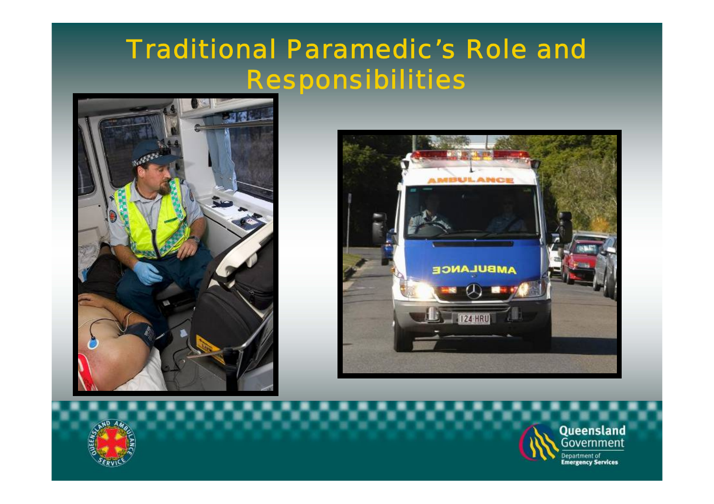### Traditional Paramedic's Role and Responsibilities







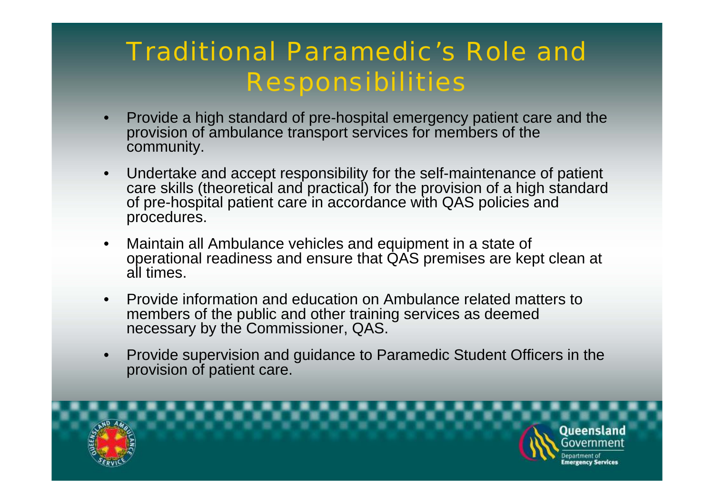### Traditional Paramedic's Role and Responsibilities

- • Provide a high standard of pre-hospital emergency patient care and the provision of ambulance transport services for members of the community.
- • Undertake and accept responsibility for the self-maintenance of patient care skills (theoretical and practical) for the provision of a high standard of pre-hospital patient care in accordance with QAS policies and procedures.
- $\bullet$  Maintain all Ambulance vehicles and equipment in a state of operational readiness and ensure that QAS premises are kept clean at all times.
- $\bullet$  Provide information and education on Ambulance related matters to members of the public and other training services as deemed necessary by the Commissioner, QAS.
- • Provide supervision and guidance to Paramedic Student Officers in the provision of patient care.



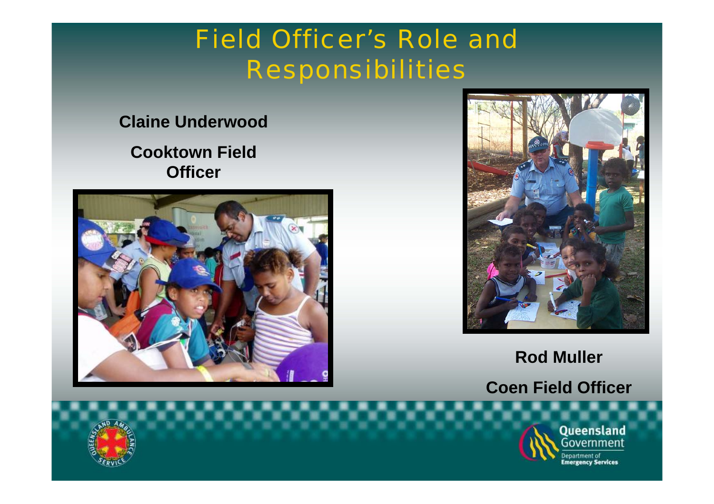### Field Officer's Role and Responsibilities

#### **Claine Underwood**

#### **Cooktown Field Officer**





**Rod Muller** 

#### **Coen Field Officer**



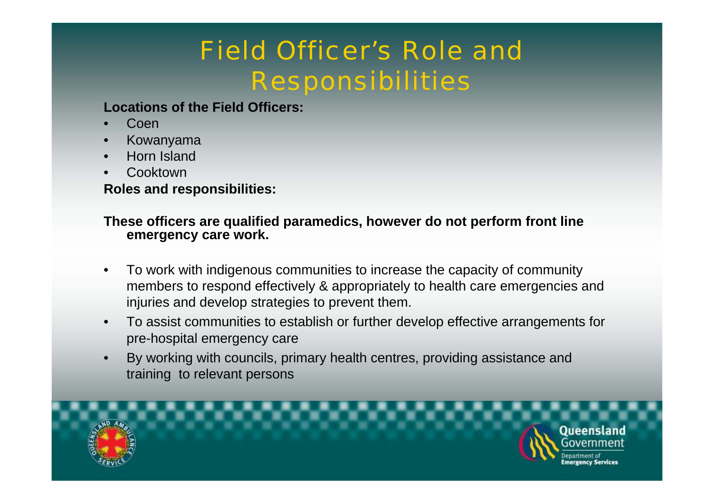### Field Officer's Role and Responsibilities

#### **Locations of the Field Officers:**

- •**Coen**
- •Kowanyama
- •Horn Island
- •Cooktown

#### **Roles and responsibilities:**

#### **These officers are qualified paramedics, however do not perform front line emergency care work.**

- • To work with indigenous communities to increase the capacity of community members to respond effectively & appropriately to health care emergencies and injuries and develop strategies to prevent them.
- • To assist communities to establish or further develop effective arrangements for pre-hospital emergency care
- • By working with councils, primary health centres, providing assistance and training to relevant persons



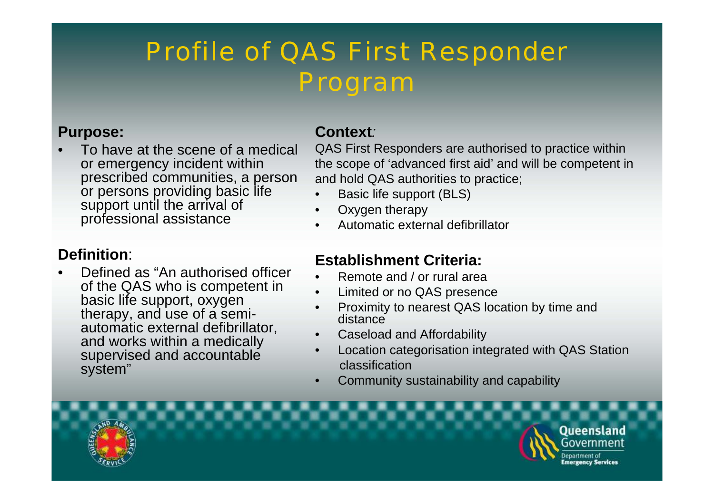## Profile of QAS First Responder Program

#### **Purpose:**

• To have at the scene of a medical or emergency incident within prescribed communities, a person or persons providing basic life support until the arrival of professional assistance

#### **Definition**:

• Defined as "An authorised officer of the QAS who is competent in basic life support, oxygen therapy, and use of a semiautomatic external defibrillator, and works within a medically supervised and accountable system"

#### **Context***:*

QAS First Responders are authorised to practice within the scope of 'advanced first aid' and will be competent in and hold QAS authorities to practice;

- •Basic life support (BLS)
- •Oxygen therapy
- •Automatic external defibrillator

#### **Establishment Criteria:**

- •Remote and / or rural area
- •Limited or no QAS presence
- $\bullet$  Proximity to nearest QAS location by time and distance
- •Caseload and Affordability
- • Location categorisation integrated with QAS Station classification
- •Community sustainability and capability



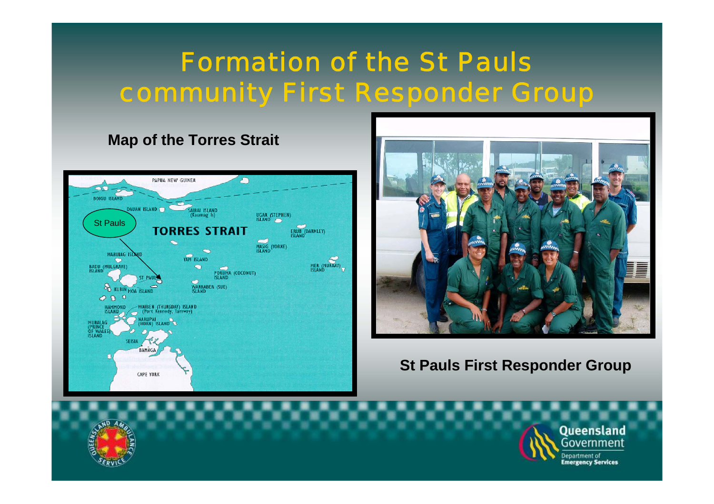### Formation of the St Pauls community First Responder Group

#### **Map of the Torres Strait**





#### **St Pauls First Responder Group**



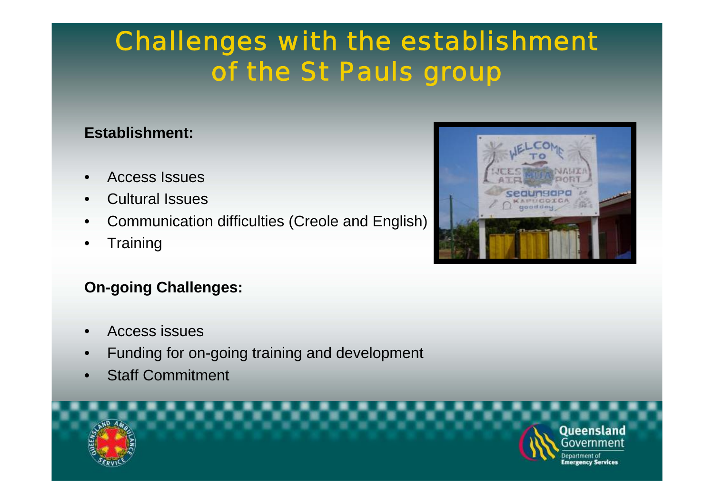## Challenges with the establishment of the St Pauls group

#### **Establishment:**

- •Access Issues
- •Cultural Issues
- •Communication difficulties (Creole and English)
- •**Training**

#### **On-going Challenges:**

- •Access issues
- •Funding for on-going training and development
- •Staff Commitment





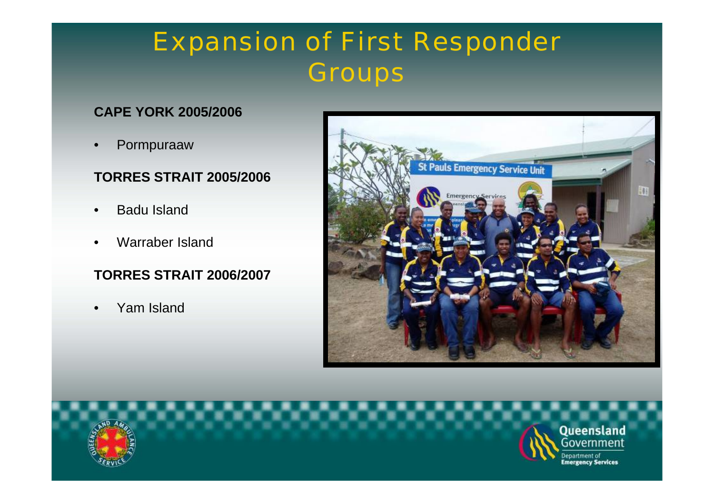## Expansion of First Responder **Groups**

#### **CAPE YORK 2005/2006**

•Pormpuraaw

#### **TORRES STRAIT 2005/2006**

- •Badu Island
- •Warraber Island

#### **TORRES STRAIT 2006/2007**

•Yam Island





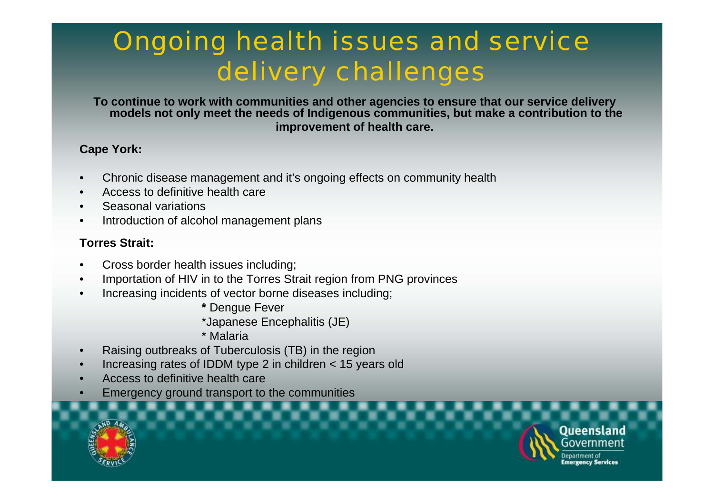### Ongoing health issues and service delivery challenges

**To continue to work with communities and other agencies to ensure that our service delivery models not only meet the needs of Indigenous communities, but make a contribution to the improvement of health care.** 

#### **Cape York:**

- $\bullet$ Chronic disease management and it's ongoing effects on community health
- •Access to definitive health care
- •Seasonal variations
- •Introduction of alcohol management plans

#### **Torres Strait:**

- •Cross border health issues including;
- •Importation of HIV in to the Torres Strait region from PNG provinces
- • Increasing incidents of vector borne diseases including;
	- **\*** Dengue Fever
	- \*Japanese Encephalitis (JE)
	- \* Malaria
- •Raising outbreaks of Tuberculosis (TB) in the region
- •Increasing rates of IDDM type 2 in children < 15 years old
- •Access to definitive health care
- •Emergency ground transport to the communities



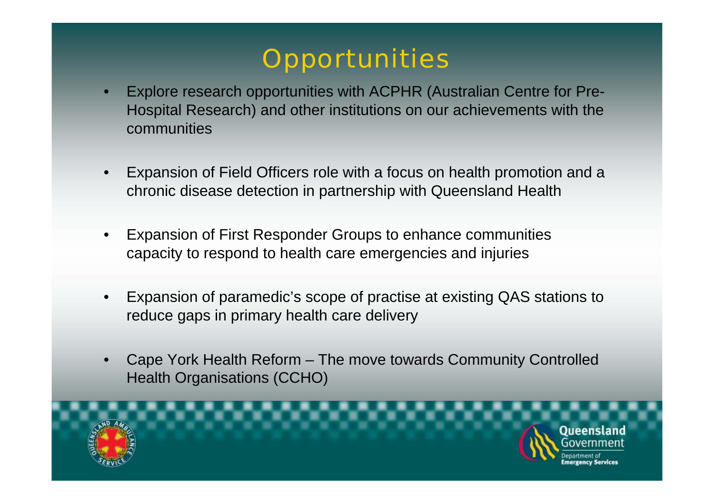

- • Explore research opportunities with ACPHR (Australian Centre for Pre-Hospital Research) and other institutions on our achievements with the communities
- • Expansion of Field Officers role with a focus on health promotion and a chronic disease detection in partnership with Queensland Health
- $\bullet$  Expansion of First Responder Groups to enhance communities capacity to respond to health care emergencies and injuries
- • Expansion of paramedic's scope of practise at existing QAS stations to reduce gaps in primary health care delivery
- • Cape York Health Reform – The move towards Community Controlled Health Organisations (CCHO)